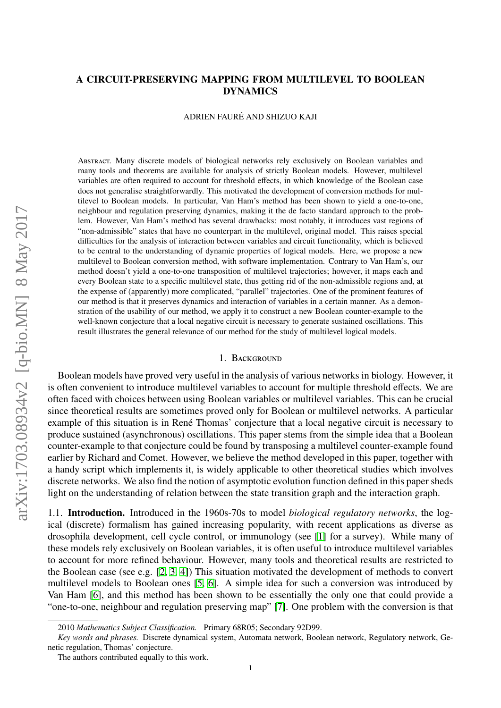# A CIRCUIT-PRESERVING MAPPING FROM MULTILEVEL TO BOOLEAN DYNAMICS

ADRIEN FAURE AND SHIZUO KAJI ´

Abstract. Many discrete models of biological networks rely exclusively on Boolean variables and many tools and theorems are available for analysis of strictly Boolean models. However, multilevel variables are often required to account for threshold effects, in which knowledge of the Boolean case does not generalise straightforwardly. This motivated the development of conversion methods for multilevel to Boolean models. In particular, Van Ham's method has been shown to yield a one-to-one, neighbour and regulation preserving dynamics, making it the de facto standard approach to the problem. However, Van Ham's method has several drawbacks: most notably, it introduces vast regions of "non-admissible" states that have no counterpart in the multilevel, original model. This raises special difficulties for the analysis of interaction between variables and circuit functionality, which is believed to be central to the understanding of dynamic properties of logical models. Here, we propose a new multilevel to Boolean conversion method, with software implementation. Contrary to Van Ham's, our method doesn't yield a one-to-one transposition of multilevel trajectories; however, it maps each and every Boolean state to a specific multilevel state, thus getting rid of the non-admissible regions and, at the expense of (apparently) more complicated, "parallel" trajectories. One of the prominent features of our method is that it preserves dynamics and interaction of variables in a certain manner. As a demonstration of the usability of our method, we apply it to construct a new Boolean counter-example to the well-known conjecture that a local negative circuit is necessary to generate sustained oscillations. This result illustrates the general relevance of our method for the study of multilevel logical models.

### 1. BACKGROUND

Boolean models have proved very useful in the analysis of various networks in biology. However, it is often convenient to introduce multilevel variables to account for multiple threshold effects. We are often faced with choices between using Boolean variables or multilevel variables. This can be crucial since theoretical results are sometimes proved only for Boolean or multilevel networks. A particular example of this situation is in René Thomas' conjecture that a local negative circuit is necessary to produce sustained (asynchronous) oscillations. This paper stems from the simple idea that a Boolean counter-example to that conjecture could be found by transposing a multilevel counter-example found earlier by Richard and Comet. However, we believe the method developed in this paper, together with a handy script which implements it, is widely applicable to other theoretical studies which involves discrete networks. We also find the notion of asymptotic evolution function defined in this paper sheds light on the understanding of relation between the state transition graph and the interaction graph.

1.1. Introduction. Introduced in the 1960s-70s to model *biological regulatory networks*, the logical (discrete) formalism has gained increasing popularity, with recent applications as diverse as drosophila development, cell cycle control, or immunology (see [\[1\]](#page-13-0) for a survey). While many of these models rely exclusively on Boolean variables, it is often useful to introduce multilevel variables to account for more refined behaviour. However, many tools and theoretical results are restricted to the Boolean case (see e.g. [\[2,](#page-13-1) [3,](#page-13-2) [4\]](#page-13-3)) This situation motivated the development of methods to convert multilevel models to Boolean ones [\[5,](#page-13-4) [6\]](#page-13-5). A simple idea for such a conversion was introduced by Van Ham [\[6\]](#page-13-5), and this method has been shown to be essentially the only one that could provide a "one-to-one, neighbour and regulation preserving map" [\[7\]](#page-13-6). One problem with the conversion is that

<sup>2010</sup> *Mathematics Subject Classification.* Primary 68R05; Secondary 92D99.

*Key words and phrases.* Discrete dynamical system, Automata network, Boolean network, Regulatory network, Genetic regulation, Thomas' conjecture.

The authors contributed equally to this work.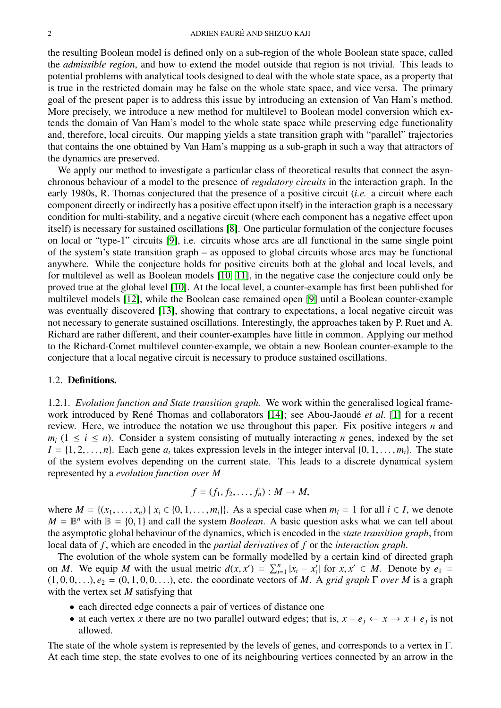the resulting Boolean model is defined only on a sub-region of the whole Boolean state space, called the *admissible region*, and how to extend the model outside that region is not trivial. This leads to potential problems with analytical tools designed to deal with the whole state space, as a property that is true in the restricted domain may be false on the whole state space, and vice versa. The primary goal of the present paper is to address this issue by introducing an extension of Van Ham's method. More precisely, we introduce a new method for multilevel to Boolean model conversion which extends the domain of Van Ham's model to the whole state space while preserving edge functionality and, therefore, local circuits. Our mapping yields a state transition graph with "parallel" trajectories that contains the one obtained by Van Ham's mapping as a sub-graph in such a way that attractors of the dynamics are preserved.

We apply our method to investigate a particular class of theoretical results that connect the asynchronous behaviour of a model to the presence of *regulatory circuits* in the interaction graph. In the early 1980s, R. Thomas conjectured that the presence of a positive circuit (*i.e.* a circuit where each component directly or indirectly has a positive effect upon itself) in the interaction graph is a necessary condition for multi-stability, and a negative circuit (where each component has a negative effect upon itself) is necessary for sustained oscillations [\[8\]](#page-13-7). One particular formulation of the conjecture focuses on local or "type-1" circuits [\[9\]](#page-13-8), i.e. circuits whose arcs are all functional in the same single point of the system's state transition graph – as opposed to global circuits whose arcs may be functional anywhere. While the conjecture holds for positive circuits both at the global and local levels, and for multilevel as well as Boolean models [\[10,](#page-13-9) [11\]](#page-13-10), in the negative case the conjecture could only be proved true at the global level [\[10\]](#page-13-9). At the local level, a counter-example has first been published for multilevel models [\[12\]](#page-13-11), while the Boolean case remained open [\[9\]](#page-13-8) until a Boolean counter-example was eventually discovered [\[13\]](#page-13-12), showing that contrary to expectations, a local negative circuit was not necessary to generate sustained oscillations. Interestingly, the approaches taken by P. Ruet and A. Richard are rather different, and their counter-examples have little in common. Applying our method to the Richard-Comet multilevel counter-example, we obtain a new Boolean counter-example to the conjecture that a local negative circuit is necessary to produce sustained oscillations.

### 1.2. Definitions.

1.2.1. *Evolution function and State transition graph.* We work within the generalised logical frame-work introduced by René Thomas and collaborators [\[14\]](#page-13-13); see Abou-Jaoudé *et al.* [\[1\]](#page-13-0) for a recent review. Here, we introduce the notation we use throughout this paper. Fix positive integers *n* and  $m_i$  ( $1 \le i \le n$ ). Consider a system consisting of mutually interacting *n* genes, indexed by the set  $I = \{1, 2, \ldots, n\}$ . Each gene  $a_i$  takes expression levels in the integer interval  $\{0, 1, \ldots, m_i\}$ . The state of the system evolves depending on the current state. This leads to a discrete dynamical system of the system evolves depending on the current state. This leads to a discrete dynamical system represented by a *evolution function over M*

$$
f=(f_1,f_2,\ldots,f_n):M\to M,
$$

where  $M = \{(x_1, \ldots, x_n) \mid x_i \in \{0, 1, \ldots, m_i\}\}\)$ . As a special case when  $m_i = 1$  for all  $i \in I$ , we denote  $M = \mathbb{B}^n$  with  $\mathbb{B} = \{0, 1\}$  and call the system *Boolean*. A basic question asks what we can tell about the asymptotic global behaviour of the dynamics which is encoded in the *state transition graph* from the asymptotic global behaviour of the dynamics, which is encoded in the *state transition graph*, from local data of *f* , which are encoded in the *partial derivatives* of *f* or the *interaction graph*.

The evolution of the whole system can be formally modelled by a certain kind of directed graph on *<sup>M</sup>*. We equip *<sup>M</sup>* with the usual metric *<sup>d</sup>*(*x*, *<sup>x</sup>* 0 ) = P*<sup>n</sup> i*=1 |*x<sup>i</sup>* − *x* 0  $a_i'$  for  $x, x' \in M$ . Denote by  $e_1 =$ <br>A *orid graph*  $\Gamma$  *over M* is a graph  $(1, 0, 0, \ldots), e_2 = (0, 1, 0, 0, \ldots)$ , etc. the coordinate vectors of *M*. A *grid graph*  $\Gamma$  *over M* is a graph with the vertex set *M* satisfying that

- each directed edge connects a pair of vertices of distance one
- at each vertex *x* there are no two parallel outward edges; that is,  $x e_j \leftarrow x \rightarrow x + e_j$  is not allowed.

The state of the whole system is represented by the levels of genes, and corresponds to a vertex in Γ. At each time step, the state evolves to one of its neighbouring vertices connected by an arrow in the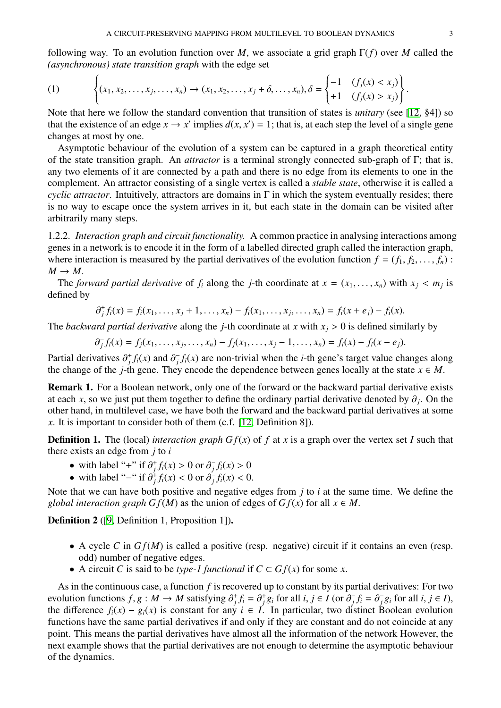following way. To an evolution function over *M*, we associate a grid graph Γ(*f*) over *M* called the *(asynchronous) state transition graph* with the edge set

<span id="page-2-0"></span>(1) 
$$
\left\{ (x_1, x_2, \dots, x_j, \dots, x_n) \to (x_1, x_2, \dots, x_j + \delta, \dots, x_n), \delta = \begin{cases} -1 & (f_j(x) < x_j) \\ +1 & (f_j(x) > x_j) \end{cases} \right\}
$$

Note that here we follow the standard convention that transition of states is *unitary* (see [\[12,](#page-13-11) §4]) so that the existence of an edge  $x \to x'$  implies  $d(x, x') = 1$ ; that is, at each step the level of a single gene<br>changes at most by one changes at most by one.

Asymptotic behaviour of the evolution of a system can be captured in a graph theoretical entity of the state transition graph. An *attractor* is a terminal strongly connected sub-graph of Γ; that is, any two elements of it are connected by a path and there is no edge from its elements to one in the complement. An attractor consisting of a single vertex is called a *stable state*, otherwise it is called a *cyclic attractor*. Intuitively, attractors are domains in  $\Gamma$  in which the system eventually resides; there is no way to escape once the system arrives in it, but each state in the domain can be visited after arbitrarily many steps.

1.2.2. *Interaction graph and circuit functionality.* A common practice in analysing interactions among genes in a network is to encode it in the form of a labelled directed graph called the interaction graph, where interaction is measured by the partial derivatives of the evolution function  $f = (f_1, f_2, \ldots, f_n)$ :  $M \rightarrow M$ .

The *forward partial derivative* of  $f_i$  along the *j*-th coordinate at  $x = (x_1, \ldots, x_n)$  with  $x_j < m_j$  is fined by defined by

$$
\partial_j^+ f_i(x) = f_i(x_1, \dots, x_j + 1, \dots, x_n) - f_i(x_1, \dots, x_j, \dots, x_n) = f_i(x + e_j) - f_i(x).
$$

The *backward partial derivative* along the *j*-th coordinate at *x* with  $x_j > 0$  is defined similarly by

$$
\partial_j^- f_i(x) = f_j(x_1, \ldots, x_j, \ldots, x_n) - f_j(x_1, \ldots, x_j - 1, \ldots, x_n) = f_i(x) - f_i(x - e_j).
$$

Partial derivatives  $\partial_j^+ f_i(x)$  and  $\partial_j^-$ <br>the change of the *i*-th gene. They  $\int f_i(x)$  are non-trivial when the *i*-th gene's target value changes along the change of the *j*-th gene. They encode the dependence between genes locally at the state  $x \in M$ .

Remark 1. For a Boolean network, only one of the forward or the backward partial derivative exists at each *x*, so we just put them together to define the ordinary partial derivative denoted by  $\partial_j$ . On the order the order to define the forward and the backward partial derivatives at some other hand, in multilevel case, we have both the forward and the backward partial derivatives at some *x*. It is important to consider both of them (c.f. [\[12,](#page-13-11) Definition 8]).

**Definition 1.** The (local) *interaction graph Gf(x)* of *f* at *x* is a graph over the vertex set *I* such that there exists an edge from *j* to *i*

- with label "+" if  $\partial_j^+ f_i(x) > 0$  or  $\partial_j^-$ <br>• with label "-" if  $\partial_j^+ f_i(x) < 0$  or  $\partial_j^$  $f_i(x) > 0$ <br>  $f_i(x) > 0$
- with label "−" if  $\partial_j^{\dagger} f_i(x) < 0$  or  $\partial_j^{\dagger}$  $\frac{1}{i} f_i(x) < 0.$

Note that we can have both positive and negative edges from *j* to *i* at the same time. We define the *global interaction graph G f*(*M*) as the union of edges of  $Gf(x)$  for all  $x \in M$ .

Definition 2 ([\[9,](#page-13-8) Definition 1, Proposition 1]).

- A cycle *C* in *G f*(*M*) is called a positive (resp. negative) circuit if it contains an even (resp. odd) number of negative edges.
- A circuit *C* is said to be *type-1 functional* if  $C \subset \mathbb{G}f(x)$  for some *x*.

As in the continuous case, a function *f* is recovered up to constant by its partial derivatives: For two evolution functions  $f, g: M \to M$  satisfying  $\partial_j^+ f_i = \partial_j^+ g_i$  for all  $i, j \in I$  (or  $\partial_j^-$ )<br>the difference  $f(x) = g(x)$  is constant for any  $i \in I$ . In particular, two dis- $\overline{f}_j f_i = \partial^-_j$ <br> **istinct B**  $\overline{j}g_i$  for all *i*,  $j \in I$ ),<br>Boolean evolution the difference  $f_i(x) - g_i(x)$  is constant for any  $i \in I$ . In particular, two distinct Boolean evolution functions have the same partial derivatives if and only if they are constant and do not coincide at any point. This means the partial derivatives have almost all the information of the network However, the next example shows that the partial derivatives are not enough to determine the asymptotic behaviour of the dynamics.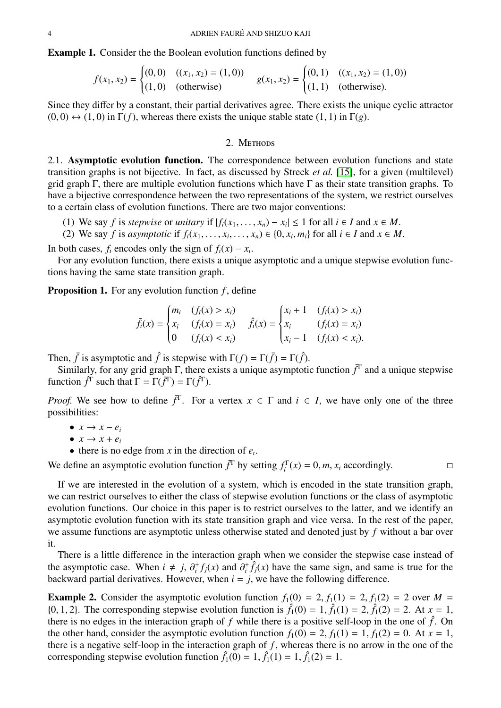Example 1. Consider the the Boolean evolution functions defined by

$$
f(x_1, x_2) = \begin{cases} (0,0) & ((x_1, x_2) = (1,0)) \\ (1,0) & (\text{otherwise}) \end{cases} \qquad g(x_1, x_2) = \begin{cases} (0,1) & ((x_1, x_2) = (1,0)) \\ (1,1) & (\text{otherwise}). \end{cases}
$$

Since they differ by a constant, their partial derivatives agree. There exists the unique cyclic attractor  $(0, 0) \leftrightarrow (1, 0)$  in  $\Gamma(f)$ , whereas there exists the unique stable state  $(1, 1)$  in  $\Gamma(g)$ .

## 2. METHODS

2.1. Asymptotic evolution function. The correspondence between evolution functions and state transition graphs is not bijective. In fact, as discussed by Streck *et al.* [\[15\]](#page-13-14), for a given (multilevel) grid graph Γ, there are multiple evolution functions which have Γ as their state transition graphs. To have a bijective correspondence between the two representations of the system, we restrict ourselves to a certain class of evolution functions. There are two major conventions:

- (1) We say *f* is *stepwise* or *unitary* if  $|f_i(x_1, \ldots, x_n) x_i| \le 1$  for all  $i \in I$  and  $x \in M$ .<br>(2) We say *f* is *asymptotic* if  $f_i(x_1, \ldots, x_n) \in \{0, x \in M\}$  for all  $i \in I$  and  $x \in M$ .
- (2) We say *f* is *asymptotic* if  $f_i(x_1, \ldots, x_i, \ldots, x_n) \in \{0, x_i, m_i\}$  for all  $i \in I$  and  $x \in M$ .

In both cases,  $f_i$  encodes only the sign of  $f_i(x) - x_i$ .

For any evolution function, there exists a unique asymptotic and a unique stepwise evolution functions having the same state transition graph.

<span id="page-3-0"></span>**Proposition 1.** For any evolution function *f*, define

$$
\bar{f}_i(x) = \begin{cases} m_i & (f_i(x) > x_i) \\ x_i & (f_i(x) = x_i) \\ 0 & (f_i(x) < x_i) \end{cases} \quad \hat{f}_i(x) = \begin{cases} x_i + 1 & (f_i(x) > x_i) \\ x_i & (f_i(x) = x_i) \\ x_i - 1 & (f_i(x) < x_i). \end{cases}
$$

Then,  $\bar{f}$  is asymptotic and  $\hat{f}$  is stepwise with  $\Gamma(f) = \Gamma(\bar{f}) = \Gamma(\hat{f})$ .

Similarly, for any grid graph  $\Gamma$ , there exists a unique asymptotic function  $\bar{f}^{\Gamma}$  and a unique stepwise function  $\hat{f}^{\Gamma}$  such that  $\Gamma = \Gamma(\bar{f}^{\Gamma}) = \Gamma(\hat{f}^{\Gamma})$ .

*Proof.* We see how to define  $\bar{f}^T$ . For a vertex  $x \in \Gamma$  and  $i \in I$ , we have only one of the three possibilities:

- $\bullet$  *x*  $\rightarrow$  *x*  $-$  *e*<sub>*i*</sub>
- $\bullet$  *x*  $\rightarrow$  *x* + *ei*
- there is no edge from  $x$  in the direction of  $e_i$ .

We define an asymptotic evolution function  $\bar{f}^T$  by setting  $f_i^T(x) = 0, m, x_i$  accordingly.

If we are interested in the evolution of a system, which is encoded in the state transition graph, we can restrict ourselves to either the class of stepwise evolution functions or the class of asymptotic evolution functions. Our choice in this paper is to restrict ourselves to the latter, and we identify an asymptotic evolution function with its state transition graph and vice versa. In the rest of the paper, we assume functions are asymptotic unless otherwise stated and denoted just by *f* without a bar over it.

There is a little difference in the interaction graph when we consider the stepwise case instead of the asymptotic case. When  $i \neq j$ ,  $\partial_i^+ f_j(x)$  and  $\partial_i^+ \hat{f}_j(x)$  have the same sign, and same is true for the hackward partial derivatives. However when  $i = i$  we have the following difference backward partial derivatives. However, when  $i = j$ , we have the following difference.

**Example 2.** Consider the asymptotic evolution function  $f_1(0) = 2$ ,  $f_1(1) = 2$ ,  $f_1(2) = 2$  over  $M =$ {0, 1, 2}. The corresponding stepwise evolution function is  $\hat{f}_1(0) = 1$ ,  $\hat{f}_1(1) = 2$ ,  $\hat{f}_1(2) = 2$ . At  $x = 1$ , there is no edges in the interaction graph of f while there is a positive self-loop in the one of  $\hat{$ there is no edges in the interaction graph of  $f$  while there is a positive self-loop in the one of  $\hat{f}$ . On the other hand, consider the asymptotic evolution function  $f_1(0) = 2$ ,  $f_1(1) = 1$ ,  $f_1(2) = 0$ . At  $x = 1$ , there is a negative self-loop in the interaction graph of  $f$ , whereas there is no arrow in the one of the corresponding stepwise evolution function  $\hat{f}_1(0) = 1$ ,  $\hat{f}_1(1) = 1$ ,  $\hat{f}_1(2) = 1$ .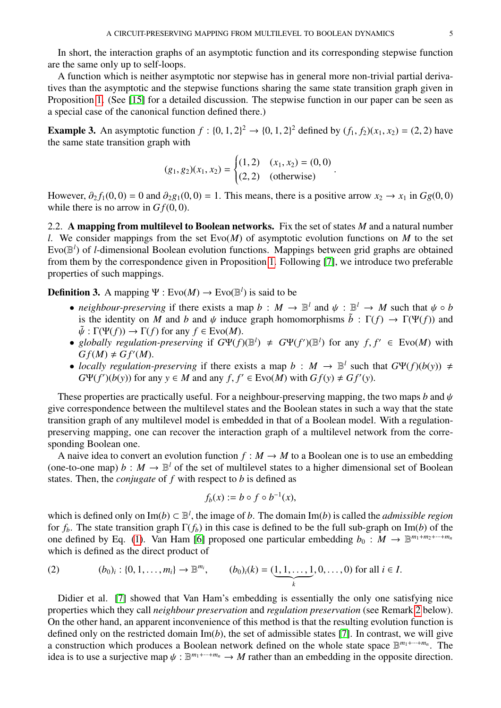In short, the interaction graphs of an asymptotic function and its corresponding stepwise function are the same only up to self-loops.

A function which is neither asymptotic nor stepwise has in general more non-trivial partial derivatives than the asymptotic and the stepwise functions sharing the same state transition graph given in Proposition [1.](#page-3-0) (See [\[15\]](#page-13-14) for a detailed discussion. The stepwise function in our paper can be seen as a special case of the canonical function defined there.)

**Example 3.** An asymptotic function  $f : \{0, 1, 2\}^2 \rightarrow \{0, 1, 2\}^2$  defined by  $(f_1, f_2)(x_1, x_2) = (2, 2)$  have the same state transition graph with the same state transition graph with

$$
(g_1, g_2)(x_1, x_2) = \begin{cases} (1, 2) & (x_1, x_2) = (0, 0) \\ (2, 2) & (otherwise) \end{cases}
$$

However,  $\partial_2 f_1(0,0) = 0$  and  $\partial_2 g_1(0,0) = 1$ . This means, there is a positive arrow  $x_2 \to x_1$  in  $Gg(0,0)$ while there is no arrow in  $Gf(0, 0)$ .

2.2. A mapping from multilevel to Boolean networks. Fix the set of states *M* and a natural number *l*. We consider mappings from the set Evo(*M*) of asymptotic evolution functions on *M* to the set Evo(B *l* ) of *l*-dimensional Boolean evolution functions. Mappings between grid graphs are obtained from them by the correspondence given in Proposition [1.](#page-3-0) Following [\[7\]](#page-13-6), we introduce two preferable properties of such mappings.

<span id="page-4-0"></span>**Definition 3.** A mapping  $\Psi$  :  $Evo(M) \rightarrow Evo(\mathbb{B}^l)$  is said to be

- *neighbour-preserving* if there exists a map  $b : M \to \mathbb{B}^l$  and  $\psi : \mathbb{B}^l \to M$  such that  $\psi \circ b$  is the identity on M and h and  $\psi$  induce graph homomorphisms  $\tilde{b} : \Gamma(f) \to \Gamma(\Psi(f))$  and is the identity on *M* and *b* and  $\psi$  induce graph homomorphisms  $\tilde{b}$  :  $\Gamma(f) \to \Gamma(\Psi(f))$  and  $\tilde{\psi}: \Gamma(\Psi(f)) \to \Gamma(f)$  for any  $f \in Evo(M)$ .
- *globally regulation-preserving* if  $G\Psi(f)(\mathbb{B}^l) \neq G\Psi(f')(\mathbb{B}^l)$  for any  $f, f' \in Evo(M)$  with  $Gf(M) \neq Gf'(M)$  $Gf(M) \neq \tilde{G}f'(M).$
- *locally regulation-preserving* if there exists a map  $b : M \rightarrow \mathbb{B}^l$  such that  $G\Psi(f)(b(y)) \neq$  $G\Psi(f')(b(y))$  for any  $y \in M$  and any  $f, f' \in Evo(M)$  with  $Gf(y) \neq Gf'(y)$ .

These properties are practically useful. For a neighbour-preserving mapping, the two maps *b* and  $\psi$ give correspondence between the multilevel states and the Boolean states in such a way that the state transition graph of any multilevel model is embedded in that of a Boolean model. With a regulationpreserving mapping, one can recover the interaction graph of a multilevel network from the corresponding Boolean one.

A naive idea to convert an evolution function  $f : M \to M$  to a Boolean one is to use an embedding (one-to-one map)  $b : M \to \mathbb{B}^l$  of the set of multilevel states to a higher dimensional set of Boolean states. Then, the *conjugate* of *f* with respect to *b* is defined as

$$
f_b(x) := b \circ f \circ b^{-1}(x),
$$

which is defined only on  $\text{Im}(b) \subset \mathbb{B}^l$ , the image of *b*. The domain  $\text{Im}(b)$  is called the *admissible region* for  $f_b$ . The state transition graph  $\Gamma(f_b)$  in this case is defined to be the full sub-graph on Im(*b*) of the one defined by Eq. [\(1\)](#page-2-0). Van Ham [\[6\]](#page-13-5) proposed one particular embedding  $b_0 : M \to \mathbb{B}^{m_1 + m_2 + \cdots + m_n}$ which is defined as the direct product of

<span id="page-4-1"></span>(2) 
$$
(b_0)_i : \{0, 1, ..., m_i\} \to \mathbb{B}^{m_i}, \qquad (b_0)_i(k) = (\underbrace{1, 1, ..., 1}_{k}, 0, ..., 0)
$$
 for all  $i \in I$ .

Didier et al. [\[7\]](#page-13-6) showed that Van Ham's embedding is essentially the only one satisfying nice properties which they call *neighbour preservation* and *regulation preservation* (see Remark [2](#page-5-0) below). On the other hand, an apparent inconvenience of this method is that the resulting evolution function is defined only on the restricted domain Im(*b*), the set of admissible states [\[7\]](#page-13-6). In contrast, we will give a construction which produces a Boolean network defined on the whole state space B *m*1+···+*m<sup>n</sup>* . The idea is to use a surjective map  $\psi : \mathbb{B}^{m_1 + \dots + m_n} \to M$  rather than an embedding in the opposite direction.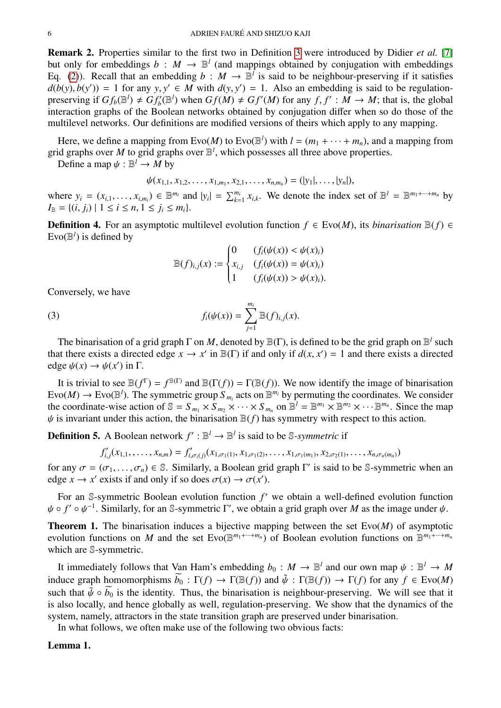<span id="page-5-0"></span>Remark 2. Properties similar to the first two in Definition [3](#page-4-0) were introduced by Didier *et al.* [\[7\]](#page-13-6) but only for embeddings  $b : M \to \mathbb{B}^l$  (and mappings obtained by conjugation with embeddings Eq. [\(2\)](#page-4-1)). Recall that an embedding  $b : M \to \mathbb{B}^l$  is said to be neighbour-preserving if it satisfies  $d(b(y), b(y')) = 1$  for any  $y, y' \in M$  with  $d(y, y') = 1$ . Also an embedding is said to be regulation-<br>preserving if  $Gf(b|x') + Gf'(x)$  when  $Gf(M) + Gf'(M)$  for any  $f, f' : M \to M$ ; that is the global preserving if  $Gf_b(\mathbb{B}^l) \neq Gf'_b(\mathbb{B}^l)$  when  $Gf(M) \neq Gf'(M)$  for any  $f, f' : M \to M$ ; that is, the global<br>interaction graphs of the Boolean networks obtained by conjugation differ when so do those of the interaction graphs of the Boolean networks obtained by conjugation differ when so do those of the multilevel networks. Our definitions are modified versions of theirs which apply to any mapping.

Here, we define a mapping from  $\text{Evo}(M)$  to  $\text{Evo}(\mathbb{B}^l)$  with  $l = (m_1 + \cdots + m_n)$ , and a mapping from grid graphs over *M* to grid graphs over  $\mathbb{B}^l$ , which possesses all three above properties.

Define a map  $\psi : \mathbb{B}^l \to M$  by

$$
\psi(x_{1,1}, x_{1,2}, \ldots, x_{1,m_1}, x_{2,1}, \ldots, x_{n,m_n}) = (|y_1|, \ldots, |y_n|),
$$

where  $y_i = (x_{i,1}, \dots, x_{i,m_i}) \in \mathbb{B}^{m_i}$  and  $|y_i| = \sum_{k=1}^{m_i} x_{i,k}$ . We denote the index set of  $\mathbb{B}^l = \mathbb{B}^{m_1 + \dots + m_n}$  by  $L_n = \{(i, j) | 1 \le i \le n, 1 \le i \le m\}$  $I_{\mathbb{B}} = \{(i, j_i) \mid 1 \leq i \leq n, 1 \leq j_i \leq m_i\}.$ 

<span id="page-5-3"></span>**Definition 4.** For an asymptotic multilevel evolution function  $f \text{ } \in \text{Evo}(M)$ , its *binarisation*  $\mathbb{B}(f) \in \text{}$  $\text{Evo}(\mathbb{B}^l)$  is defined by

<span id="page-5-1"></span>
$$
\mathbb{B}(f)_{i,j}(x) := \begin{cases} 0 & (f_i(\psi(x)) < \psi(x)_i) \\ x_{i,j} & (f_i(\psi(x)) = \psi(x)_i) \\ 1 & (f_i(\psi(x)) > \psi(x)_i). \end{cases}
$$

Conversely, we have

(3) 
$$
f_i(\psi(x)) = \sum_{j=1}^{m_i} \mathbb{B}(f)_{i,j}(x).
$$

The binarisation of a grid graph  $\Gamma$  on M, denoted by  $\mathbb{B}(\Gamma)$ , is defined to be the grid graph on  $\mathbb{B}^l$  such that there exists a directed edge  $x \to x'$  in  $\mathbb{B}(\Gamma)$  if and only if  $d(x, x') = 1$  and there exists a directed edge  $d(x) \to d(x')$  in  $\Gamma$ edge  $\psi(x) \to \psi(x')$  in  $\Gamma$ .

It is trivial to see  $\mathbb{B}(f^{\Gamma}) = f^{\mathbb{B}(\Gamma)}$  and  $\mathbb{B}(\Gamma(f)) = \Gamma(\mathbb{B}(f))$ . We now identify the image of binarisation Evo $(M) \to \text{Evo}(\mathbb{B}^l)$ . The symmetric group  $S_{m_i}$  acts on  $\mathbb{B}^{m_i}$  by permuting the coordinates. We consider the coordinate-wise action of  $\mathbb{S} = S_{m_1} \times S_{m_2} \times \cdots \times S_{m_n}$  on  $\mathbb{B}^l = \mathbb{B}^{m_1} \times \mathbb{B}^{m_2} \times \cdots \mathbb{B}^{m_n}$ . Since the map  $\psi$  is invariant under this action, the binarisation  $\mathbb{B}(f)$  has symmetry with respect to this action.

**Definition 5.** A Boolean network  $f': \mathbb{B}^l \to \mathbb{B}^l$  is said to be *S-symmetric* if

$$
f'_{i,j}(x_{1,1},\ldots,x_{n,m})=f'_{i,\sigma_i(j)}(x_{1,\sigma_1(1)},x_{1,\sigma_1(2)},\ldots,x_{1,\sigma_1(m_1)},x_{2,\sigma_2(1)},\ldots,x_{n,\sigma_n(m_n)})
$$

for any  $\sigma = (\sigma_1, ..., \sigma_n) \in \mathbb{S}$ . Similarly, a Boolean grid graph  $\Gamma'$  is said to be  $\mathbb{S}$ -symmetric when an edge  $r \to r'$  exists if and only if so does  $\sigma(r) \to \sigma(r')$ edge  $x \to x'$  exists if and only if so does  $\sigma(x) \to \sigma(x')$ .

For an  $\mathbb S$ -symmetric Boolean evolution function  $f'$  we obtain a well-defined evolution function  $\psi \circ f' \circ \psi^{-1}$ . Similarly, for an S-symmetric  $\Gamma'$ , we obtain a grid graph over *M* as the image under  $\psi$ .

<span id="page-5-2"></span>Theorem 1. The binarisation induces a bijective mapping between the set Evo(*M*) of asymptotic evolution functions on *M* and the set  $\text{Evo}(\mathbb{B}^{m_1+\cdots+m_n})$  of Boolean evolution functions on  $\mathbb{B}^{m_1+\cdots+m_n}$ which are S-symmetric.

It immediately follows that Van Ham's embedding  $b_0 : M \to \mathbb{B}^l$  and our own map  $\psi : \mathbb{B}^l \to M$ <br>dues graph homomorphisms  $\widetilde{b}_0 : \Gamma(f) \to \Gamma(\mathbb{R}(f))$  and  $\widetilde{b}_0 : \Gamma(\mathbb{R}(f)) \to \Gamma(f)$  for any  $f \in \text{Evo}(M)$ induce graph homomorphisms  $\widetilde{b}_0 : \Gamma(f) \to \Gamma(\mathbb{B}(f))$  and  $\widetilde{\psi} : \Gamma(\mathbb{B}(f)) \to \Gamma(f)$  for any  $f \in \text{Evo}(M)$ such that  $\tilde{\psi} \circ \tilde{b_0}$  is the identity. Thus, the binarisation is neighbour-preserving. We will see that it is also locally, and hence globally as well, regulation-preserving. We show that the dynamics of the system, namely, attractors in the state transition graph are preserved under binarisation.

In what follows, we often make use of the following two obvious facts:

## Lemma 1.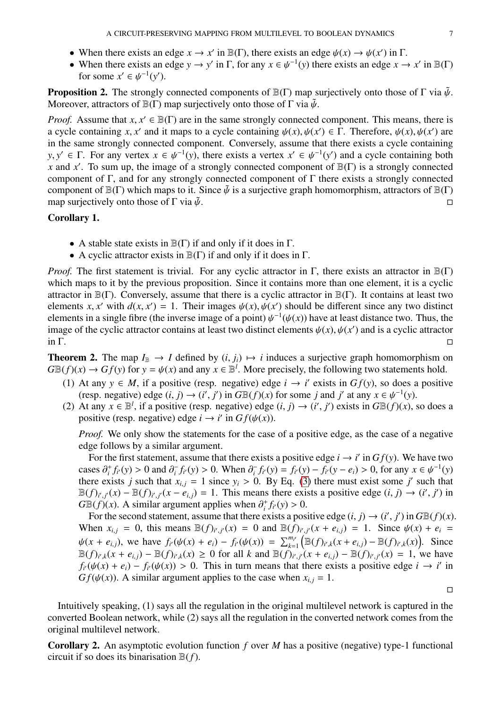- When there exists an edge  $x \to x'$  in  $\mathbb{B}(\Gamma)$ , there exists an edge  $\psi(x) \to \psi(x')$  in  $\Gamma$ .<br>• When there exists an edge  $y \to y'$  in  $\Gamma$  for any  $x \in \mathcal{U}^{-1}(y)$  there exists an edge  $x \to y'$ .
- When there exists an edge  $y \to y'$  in  $\Gamma$ , for any  $x \in \psi^{-1}(y)$  there exists an edge  $x \to x'$  in  $\mathbb{B}(\Gamma)$  for some  $x' \in \psi^{-1}(y')$ for some  $x' \in \psi^{-1}(y')$ .

<span id="page-6-2"></span>**Proposition 2.** The strongly connected components of  $\mathbb{B}(\Gamma)$  map surjectively onto those of  $\Gamma$  via  $\tilde{\psi}$ . Moreover, attractors of  $\mathbb{B}(\Gamma)$  map surjectively onto those of  $\Gamma$  via  $\tilde{\psi}$ .

*Proof.* Assume that  $x, x' \in \mathbb{B}(\Gamma)$  are in the same strongly connected component. This means, there is a cycle containing  $y(x) = \Gamma$ . Therefore  $y(x) = y(x')$  are a cycle containing *x*, *x'* and it maps to a cycle containing  $\psi(x), \psi(x') \in \Gamma$ . Therefore,  $\psi(x), \psi(x')$  are in the same strongly connected component. Conversely assume that there exists a cycle containing in the same strongly connected component. Conversely, assume that there exists a cycle containing *y*, *y*<sup> $\prime$ </sup> ∈ Γ. For any vertex *x* ∈  $\psi^{-1}(y)$ , there exists a vertex *x*<sup> $\prime$ </sup> ∈  $\psi^{-1}(y')$  and a cycle containing both *x* and *x*<sup> $\prime$ </sup>. To sum un, the image of a strongly connected component of  $\mathbb{R}(\Gamma)$  is a st *x* and *x'*. To sum up, the image of a strongly connected component of  $\mathbb{B}(\Gamma)$  is a strongly connected component of Γ, and for any strongly connected component of Γ there exists a strongly connected component of  $\mathbb{B}(\Gamma)$  which maps to it. Since  $\tilde{\psi}$  is a surjective graph homomorphism, attractors of  $\mathbb{B}(\Gamma)$ <br>map surjectively onto those of  $\Gamma$  via  $\tilde{\psi}$ . map surjectively onto those of  $\Gamma$  via  $\tilde{\psi}$ .

## <span id="page-6-1"></span>Corollary 1.

- A stable state exists in  $\mathbb{B}(\Gamma)$  if and only if it does in  $\Gamma$ .
- A cyclic attractor exists in  $\mathbb{B}(\Gamma)$  if and only if it does in  $\Gamma$ .

*Proof.* The first statement is trivial. For any cyclic attractor in Γ, there exists an attractor in  $\mathbb{B}(\Gamma)$ which maps to it by the previous proposition. Since it contains more than one element, it is a cyclic attractor in  $\mathbb{B}(\Gamma)$ . Conversely, assume that there is a cyclic attractor in  $\mathbb{B}(\Gamma)$ . It contains at least two elements *x*, *x'* with  $d(x, x') = 1$ . Their images  $\psi(x), \psi(x')$  should be different since any two distinct<br>elements in a single fibre (the inverse image of a point)  $d^{-1}(d(x))$  have at least distance two. Thus the elements in a single fibre (the inverse image of a point)  $\psi^{-1}(\psi(x))$  have at least distance two. Thus, the image of the cyclic attractor contains at least two distinct elements  $\psi(x)$   $\psi(x')$  and is a cyclic attractor image of the cyclic attractor contains at least two distinct elements  $\psi(x)$ ,  $\psi(x')$  and is a cyclic attractor in  $\Gamma$  $\overline{\text{in }\Gamma}$ .

<span id="page-6-3"></span>**Theorem 2.** The map  $I_{\mathbb{B}} \to I$  defined by  $(i, j_i) \mapsto i$  induces a surjective graph homomorphism on  $G\mathbb{B}(f)(x) \to Gf(y)$  for  $y = \psi(x)$  and any  $x \in \mathbb{B}^l$ . More precisely, the following two statements hold.

- (1) At any  $y \in M$ , if a positive (resp. negative) edge  $i \to i'$  exists in  $Gf(y)$ , so does a positive (resp. negative) edge  $(i, j) \rightarrow (i', j')$  in  $G\mathbb{B}(f)(x)$  for some *j* and *j'* at any  $x \in \psi^{-1}(y)$ .<br>At any  $x \in \mathbb{R}^l$  if a positive (resp. negative) edge  $(i, j) \rightarrow (i', j')$  exists in  $G\mathbb{B}(f)(x)$ .
- (2) At any  $x \in \mathbb{B}^l$ , if a positive (resp. negative) edge  $(i, j) \rightarrow (i', j')$  exists in  $G\mathbb{B}(f)(x)$ , so does a positive (resp. negative) edge  $i \rightarrow i'$  in  $Gf(j/(x))$ positive (resp. negative) edge  $i \to i'$  in  $Gf(\psi(x))$ .

*Proof.* We only show the statements for the case of a positive edge, as the case of a negative edge follows by a similar argument.

For the first statement, assume that there exists a positive edge  $i \rightarrow i'$  in  $Gf(y)$ . We have two cases  $\partial_i^+ f_i(y) > 0$  and  $\partial_i^-$ <br>there exists *i* such that a  $\int_{i}^{-} f_{i}(y) > 0$ . When  $\partial_{i}^{-}$ <br>  $x_{i} = 1$  since  $y_{i} > 0$  $f_i^T f_i(y) = f_{i'}(y) - f_{i'}(y - e_i) > 0$ , for any  $x \in \psi^{-1}(y)$ <br>
0 By Eq. (3) there must exist some *i'* such that there exists *j* such that  $x_{i,j} = 1$  since  $y_i > 0$ . By Eq. [\(3\)](#page-5-1) there must exist some *j'* such that  $\mathbb{R}(f)_{x_i}(x) = \mathbb{R}(f)_{x_i}(x - e_i) = 1$ . This means there exists a positive edge (*i*, *i*)  $\rightarrow$  (*i'*, *i'*) in  $\mathbb{B}(f)_{i',j'}(x) - \mathbb{B}(f)_{i',j'}(x - e_{i,j}) = 1$ . This means there exists a positive edge  $(i, j) \rightarrow (i', j')$  in  $G \mathbb{B}(f)(x)$ . A similar aroument applies when  $\partial^+ f_1(y) > 0$ .  $G\mathbb{B}(f)(x)$ . A similar argument applies when  $\partial_i^+ f_i(y) > 0$ .<br>For the second statement, assume that there exists a pos

For the second statement, assume that there exists a positive edge  $(i, j) \rightarrow (i', j')$  in  $G\mathbb{B}(f)(x)$ .<br>hen  $x_i = 0$  this means  $\mathbb{B}(f)_{i,j}(x) = 0$  and  $\mathbb{B}(f)_{i,j}(x + e_j) = 1$ . Since  $y(x) + e_j = 0$ When  $x_{i,j} = 0$ , this means  $\mathbb{B}(f)_{i',j'}(x) = 0$  and  $\mathbb{B}(f)_{i',j'}(x + e_{i,j}) = 1$ . Since  $\psi(x) + e_i =$  $\psi(x + e_{i,j})$ , we have  $f_{i'}(\psi(x) + e_i) - f_{i'}(\psi(x)) = \sum_{k=0}^{m_i} f_{k,j}(x) f_{k,j}(x)$  $\sum_{k=1}^{m_{i'}} \left( \mathbb{B}(f)_{i',k}(x + e_{i,j}) - \mathbb{B}(f)_{i',k}(x) \right)$ . Since  $\mathbb{B}(f)_{i',k}(x+e_{i,j}) - \mathbb{B}(f)_{i',k}(x) \ge 0$  for all k and  $\mathbb{B}(f)_{i',j'}(x+e_{i,j}) - \mathbb{B}(f)_{i',j'}(x) = 1$ , we have  $f_{i'}(\psi(x) + e_i) - f_{i'}(\psi(x)) > 0$ . This in turn means that there exists a positive edge  $i \to i'$  in  $Gf(\psi(x))$ . A similar aroument applies to the case when  $x_i = 1$ *Gf*( $\psi(x)$ ). A similar argument applies to the case when  $x_{i,j} = 1$ .

 $\Box$ 

Intuitively speaking, (1) says all the regulation in the original multilevel network is captured in the converted Boolean network, while (2) says all the regulation in the converted network comes from the original multilevel network.

<span id="page-6-0"></span>Corollary 2. An asymptotic evolution function *f* over *M* has a positive (negative) type-1 functional circuit if so does its binarisation B(*f*).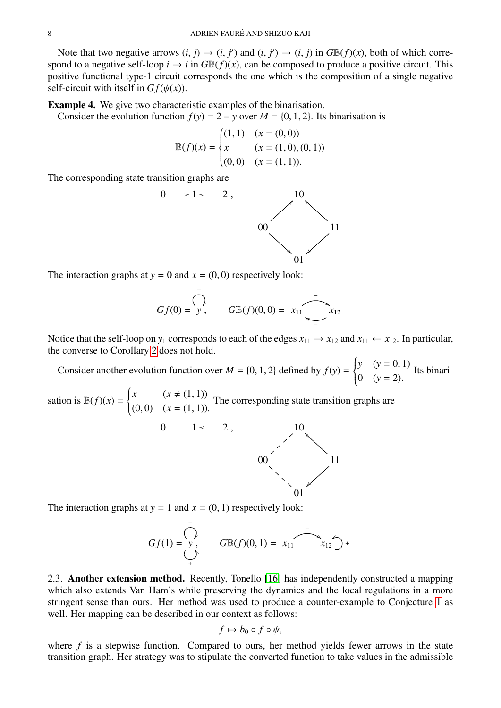Note that two negative arrows  $(i, j) \rightarrow (i, j')$  and  $(i, j') \rightarrow (i, j)$  in  $GB(f)(x)$ , both of which corre-<br>ond to a negative self-loop  $i \rightarrow i$  in  $G \mathbb{R}(f)(x)$  can be composed to produce a positive circuit. This spond to a negative self-loop  $i \to i$  in  $G\mathbb{B}(f)(x)$ , can be composed to produce a positive circuit. This positive functional type-1 circuit corresponds the one which is the composition of a single negative self-circuit with itself in  $Gf(\psi(x))$ .

Example 4. We give two characteristic examples of the binarisation.

Consider the evolution function  $f(y) = 2 - y$  over  $M = \{0, 1, 2\}$ . Its binarisation is

$$
\mathbb{B}(f)(x) = \begin{cases} (1,1) & (x = (0,0)) \\ x & (x = (1,0),(0,1)) \\ (0,0) & (x = (1,1)). \end{cases}
$$

The corresponding state transition graphs are



The interaction graphs at  $y = 0$  and  $x = (0, 0)$  respectively look:

$$
Gf(0) = \overline{\bigvee_{y \atop y}}
$$
,  $G \mathbb{B}(f)(0,0) = x_{11} \overline{\bigcup_{y \atop y \atop y}} x_{12}$ 

Notice that the self-loop on  $y_1$  corresponds to each of the edges  $x_{11} \rightarrow x_{12}$  and  $x_{11} \leftarrow x_{12}$ . In particular, the converse to Corollary [2](#page-6-0) does not hold.

Consider another evolution function over  $M = \{0, 1, 2\}$  defined by  $f(y) =$  $\begin{cases} y & (y = 0, 1) \\ 0 & (y = 0) \end{cases}$  Its binari- $\begin{cases} 0 & (y = 2). \end{cases}$ 

sation is  $B(f)(x) =$  $\left\{\right.$  $\overline{\mathcal{L}}$ *x*  $(x \neq (1, 1))$  $(0, 0)$   $(x = (1, 1)).$ The corresponding state transition graphs are



The interaction graphs at  $y = 1$  and  $x = (0, 1)$  respectively look:

$$
Gf(1) = \bigvee_{+}^{ } G\mathbb{B}(f)(0,1) = x_{11} \qquad x_{12} \bigwedge_{+}^{ } x_{12}
$$

2.3. Another extension method. Recently, Tonello [\[16\]](#page-13-15) has independently constructed a mapping which also extends Van Ham's while preserving the dynamics and the local regulations in a more stringent sense than ours. Her method was used to produce a counter-example to Conjecture [1](#page-9-0) as well. Her mapping can be described in our context as follows:

$$
f \mapsto b_0 \circ f \circ \psi,
$$

where  $f$  is a stepwise function. Compared to ours, her method yields fewer arrows in the state transition graph. Her strategy was to stipulate the converted function to take values in the admissible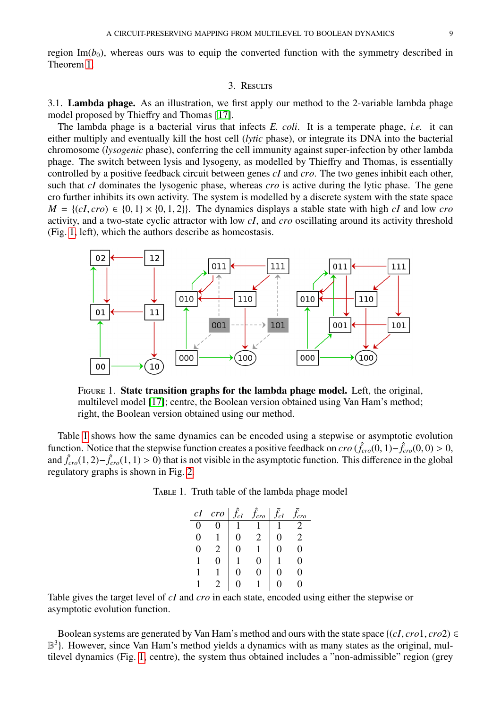region Im( $b_0$ ), whereas ours was to equip the converted function with the symmetry described in Theorem [1.](#page-5-2)

### 3. RESULTS

3.1. Lambda phage. As an illustration, we first apply our method to the 2-variable lambda phage model proposed by Thieffry and Thomas [\[17\]](#page-13-16).

The lambda phage is a bacterial virus that infects *E. coli*. It is a temperate phage, *i.e.* it can either multiply and eventually kill the host cell (*lytic* phase), or integrate its DNA into the bacterial chromosome (*lysogenic* phase), conferring the cell immunity against super-infection by other lambda phage. The switch between lysis and lysogeny, as modelled by Thieffry and Thomas, is essentially controlled by a positive feedback circuit between genes *cI* and *cro*. The two genes inhibit each other, such that *cI* dominates the lysogenic phase, whereas *cro* is active during the lytic phase. The gene cro further inhibits its own activity. The system is modelled by a discrete system with the state space  $M = \{(cI, cro) \in \{0, 1\} \times \{0, 1, 2\}\}.$  The dynamics displays a stable state with high *cI* and low *cro* activity, and a two-state cyclic attractor with low *cI*, and *cro* oscillating around its activity threshold (Fig. [1,](#page-8-0) left), which the authors describe as homeostasis.



<span id="page-8-0"></span>Figure 1. State transition graphs for the lambda phage model. Left, the original, multilevel model [\[17\]](#page-13-16); centre, the Boolean version obtained using Van Ham's method; right, the Boolean version obtained using our method.

Table [1](#page-8-1) shows how the same dynamics can be encoded using a stepwise or asymptotic evolution function. Notice that the stepwise function creates a positive feedback on *cro* ( $\hat{f}_{cro}(0,1) - \hat{f}_{cro}(0,0) > 0$ , and  $\hat{f}$  (1, 2)– $\hat{f}$  (1, 1) > 0) that is not visible in the asymptotic function. This difference in the and  $\hat{f}_{cro}(1, 2) - \hat{f}_{cro}(1, 1) > 0$ ) that is not visible in the asymptotic function. This difference in the global regulatory graphs is shown in Fig. [2.](#page-9-1)

| TABLE 1. Truth table of the lambda phage model |  |  |  |
|------------------------------------------------|--|--|--|
|                                                |  |  |  |

<span id="page-8-1"></span>

| cI | cro | $\hat{f}_{cI}$ | $f_{cro}$ | $\bar{f}_{cI}$ | cro |
|----|-----|----------------|-----------|----------------|-----|
|    |     |                |           |                |     |
| 0  |     |                |           |                | 2   |
|    |     |                |           |                |     |
|    |     |                |           |                |     |
|    |     | 1              |           |                |     |
|    |     |                |           |                |     |

Table gives the target level of *cI* and *cro* in each state, encoded using either the stepwise or asymptotic evolution function.

Boolean systems are generated by Van Ham's method and ours with the state space  $\{(cI, cro1, cro2) \in$ B<sup>3</sup>}. However, since Van Ham's method yields a dynamics with as many states as the original, multilevel dynamics (Fig. [1,](#page-8-0) centre), the system thus obtained includes a "non-admissible" region (grey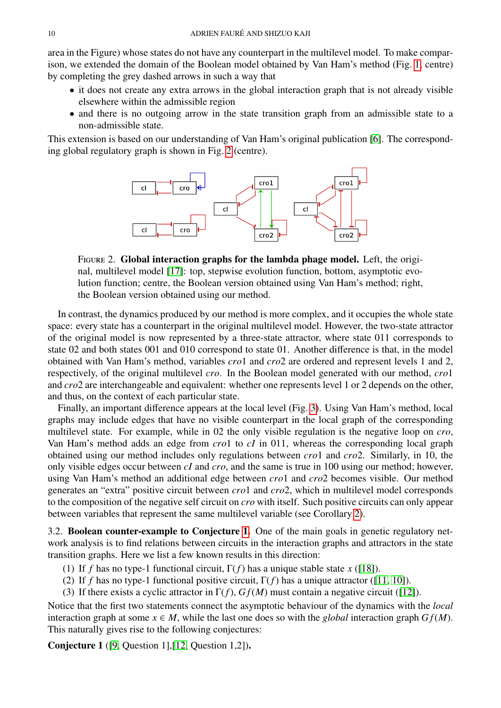area in the Figure) whose states do not have any counterpart in the multilevel model. To make comparison, we extended the domain of the Boolean model obtained by Van Ham's method (Fig. [1,](#page-8-0) centre) by completing the grey dashed arrows in such a way that

- it does not create any extra arrows in the global interaction graph that is not already visible elsewhere within the admissible region
- and there is no outgoing arrow in the state transition graph from an admissible state to a non-admissible state.

This extension is based on our understanding of Van Ham's original publication [\[6\]](#page-13-5). The corresponding global regulatory graph is shown in Fig. [2](#page-9-1) (centre).



<span id="page-9-1"></span>Figure 2. Global interaction graphs for the lambda phage model. Left, the original, multilevel model [\[17\]](#page-13-16): top, stepwise evolution function, bottom, asymptotic evolution function; centre, the Boolean version obtained using Van Ham's method; right, the Boolean version obtained using our method.

In contrast, the dynamics produced by our method is more complex, and it occupies the whole state space: every state has a counterpart in the original multilevel model. However, the two-state attractor of the original model is now represented by a three-state attractor, where state 011 corresponds to state 02 and both states 001 and 010 correspond to state 01. Another difference is that, in the model obtained with Van Ham's method, variables *cro*1 and *cro*2 are ordered and represent levels 1 and 2, respectively, of the original multilevel *cro*. In the Boolean model generated with our method, *cro*1 and *cro*2 are interchangeable and equivalent: whether one represents level 1 or 2 depends on the other, and thus, on the context of each particular state.

Finally, an important difference appears at the local level (Fig. [3\)](#page-10-0). Using Van Ham's method, local graphs may include edges that have no visible counterpart in the local graph of the corresponding multilevel state. For example, while in 02 the only visible regulation is the negative loop on *cro*, Van Ham's method adds an edge from *cro*1 to *cI* in 011, whereas the corresponding local graph obtained using our method includes only regulations between *cro*1 and *cro*2. Similarly, in 10, the only visible edges occur between *cI* and *cro*, and the same is true in 100 using our method; however, using Van Ham's method an additional edge between *cro*1 and *cro*2 becomes visible. Our method generates an "extra" positive circuit between *cro*1 and *cro*2, which in multilevel model corresponds to the composition of the negative self circuit on *cro* with itself. Such positive circuits can only appear between variables that represent the same multilevel variable (see Corollary [2\)](#page-6-0).

<span id="page-9-2"></span>3.2. Boolean counter-example to Conjecture [1.](#page-9-0) One of the main goals in genetic regulatory network analysis is to find relations between circuits in the interaction graphs and attractors in the state transition graphs. Here we list a few known results in this direction:

- (1) If *f* has no type-1 functional circuit, Γ(*f*) has a unique stable state *x* ([\[18\]](#page-13-17)).
- (2) If *f* has no type-1 functional positive circuit,  $\Gamma(f)$  has a unique attractor ([\[11,](#page-13-10) [10\]](#page-13-9)).
- (3) If there exists a cyclic attractor in  $\Gamma(f)$ ,  $Gf(M)$  must contain a negative circuit ([\[12\]](#page-13-11)).

Notice that the first two statements connect the asymptotic behaviour of the dynamics with the *local* interaction graph at some  $x \in M$ , while the last one does so with the *global* interaction graph  $Gf(M)$ . This naturally gives rise to the following conjectures:

<span id="page-9-0"></span>Conjecture 1 ([\[9,](#page-13-8) Question 1],[\[12,](#page-13-11) Question 1,2]).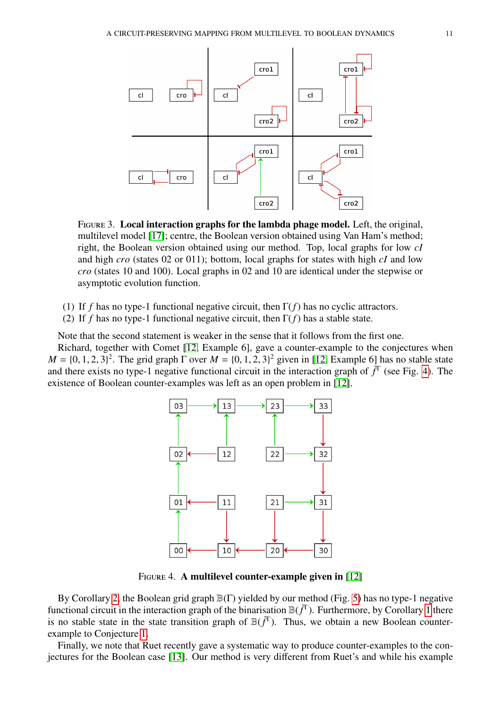

<span id="page-10-0"></span>FIGURE 3. Local interaction graphs for the lambda phage model. Left, the original, multilevel model [\[17\]](#page-13-16); centre, the Boolean version obtained using Van Ham's method; right, the Boolean version obtained using our method. Top, local graphs for low *cI* and high *cro* (states 02 or 011); bottom, local graphs for states with high *cI* and low *cro* (states 10 and 100). Local graphs in 02 and 10 are identical under the stepwise or asymptotic evolution function.

- (1) If *f* has no type-1 functional negative circuit, then Γ(*f*) has no cyclic attractors.
- (2) If *f* has no type-1 functional negative circuit, then Γ(*f*) has a stable state.

Note that the second statement is weaker in the sense that it follows from the first one.

Richard, together with Comet [\[12,](#page-13-11) Example 6], gave a counter-example to the conjectures when  $M = \{0, 1, 2, 3\}^2$ . The grid graph  $\Gamma$  over  $M = \{0, 1, 2, 3\}^2$  given in [\[12,](#page-13-11) Example 6] has no stable state and there exists no type-1 peosity functional circuit in the interaction graph of  $\overline{f}^T$  (see Fig. 4). T and there exists no type-1 negative functional circuit in the interaction graph of  $\bar{f}^T$  (see Fig. [4\)](#page-10-1). The existence of Boolean counter-examples was left as an open problem in [\[12\]](#page-13-11).



<span id="page-10-1"></span>FIGURE 4. A multilevel counter-example given in [\[12\]](#page-13-11)

By Corollary [2,](#page-6-0) the Boolean grid graph B(Γ) yielded by our method (Fig. [5\)](#page-11-0) has no type-1 negative functional circuit in the interaction graph of the binarisation  $\mathbb{B}(f^T)$ . Furthermore, by Corollary [1](#page-6-1) there is no stable state in the state transition graph of  $\mathbb{B}(\bar{f}^T)$ . Thus, we obtain a new Boolean counterexample to Conjecture [1.](#page-9-0)

Finally, we note that Ruet recently gave a systematic way to produce counter-examples to the conjectures for the Boolean case [\[13\]](#page-13-12). Our method is very different from Ruet's and while his example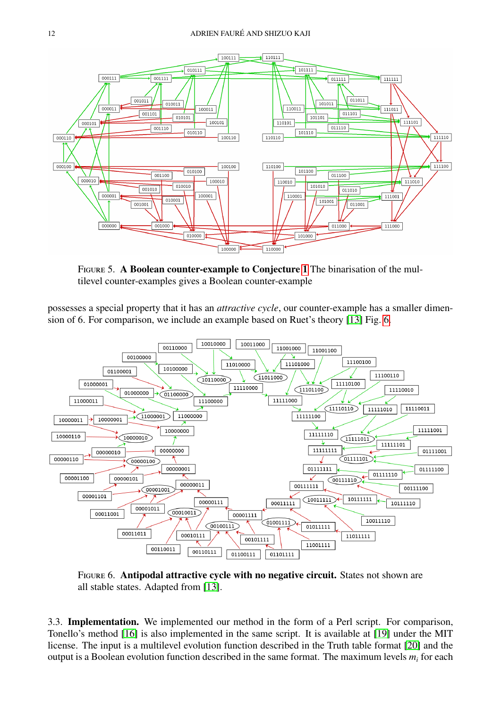

<span id="page-11-0"></span>Figure 5. A Boolean counter-example to Conjecture [1](#page-9-0) The binarisation of the multilevel counter-examples gives a Boolean counter-example

possesses a special property that it has an *attractive cycle*, our counter-example has a smaller dimension of 6. For comparison, we include an example based on Ruet's theory [\[13\]](#page-13-12) Fig. [6.](#page-11-1)



<span id="page-11-1"></span>Figure 6. Antipodal attractive cycle with no negative circuit. States not shown are all stable states. Adapted from [\[13\]](#page-13-12).

3.3. Implementation. We implemented our method in the form of a Perl script. For comparison, Tonello's method [\[16\]](#page-13-15) is also implemented in the same script. It is available at [\[19\]](#page-13-18) under the MIT license. The input is a multilevel evolution function described in the Truth table format [\[20\]](#page-13-19) and the output is a Boolean evolution function described in the same format. The maximum levels *m<sup>i</sup>* for each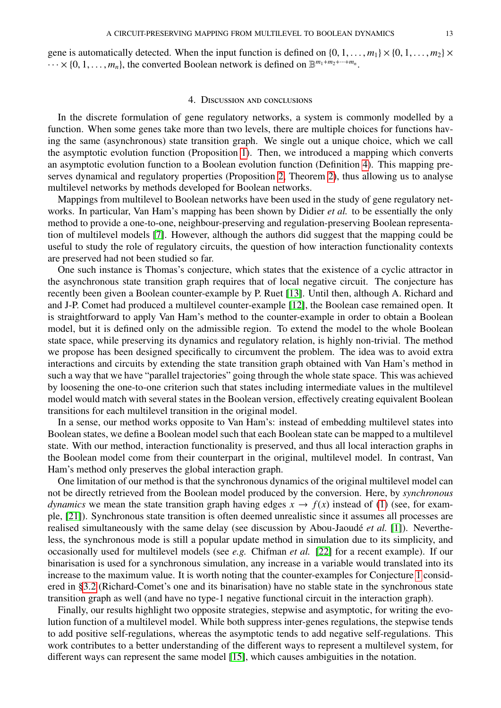gene is automatically detected. When the input function is defined on  $\{0, 1, \ldots, m_1\} \times \{0, 1, \ldots, m_2\} \times$  $\cdots \times \{0, 1, \ldots, m_n\}$ , the converted Boolean network is defined on  $\mathbb{B}^{m_1 + m_2 + \cdots + m_n}$ .

### 4. Discussion and conclusions

In the discrete formulation of gene regulatory networks, a system is commonly modelled by a function. When some genes take more than two levels, there are multiple choices for functions having the same (asynchronous) state transition graph. We single out a unique choice, which we call the asymptotic evolution function (Proposition [1\)](#page-3-0). Then, we introduced a mapping which converts an asymptotic evolution function to a Boolean evolution function (Definition [4\)](#page-5-3). This mapping preserves dynamical and regulatory properties (Proposition [2,](#page-6-2) Theorem [2\)](#page-6-3), thus allowing us to analyse multilevel networks by methods developed for Boolean networks.

Mappings from multilevel to Boolean networks have been used in the study of gene regulatory networks. In particular, Van Ham's mapping has been shown by Didier *et al.* to be essentially the only method to provide a one-to-one, neighbour-preserving and regulation-preserving Boolean representation of multilevel models [\[7\]](#page-13-6). However, although the authors did suggest that the mapping could be useful to study the role of regulatory circuits, the question of how interaction functionality contexts are preserved had not been studied so far.

One such instance is Thomas's conjecture, which states that the existence of a cyclic attractor in the asynchronous state transition graph requires that of local negative circuit. The conjecture has recently been given a Boolean counter-example by P. Ruet [\[13\]](#page-13-12). Until then, although A. Richard and and J-P. Comet had produced a multilevel counter-example [\[12\]](#page-13-11), the Boolean case remained open. It is straightforward to apply Van Ham's method to the counter-example in order to obtain a Boolean model, but it is defined only on the admissible region. To extend the model to the whole Boolean state space, while preserving its dynamics and regulatory relation, is highly non-trivial. The method we propose has been designed specifically to circumvent the problem. The idea was to avoid extra interactions and circuits by extending the state transition graph obtained with Van Ham's method in such a way that we have "parallel trajectories" going through the whole state space. This was achieved by loosening the one-to-one criterion such that states including intermediate values in the multilevel model would match with several states in the Boolean version, effectively creating equivalent Boolean transitions for each multilevel transition in the original model.

In a sense, our method works opposite to Van Ham's: instead of embedding multilevel states into Boolean states, we define a Boolean model such that each Boolean state can be mapped to a multilevel state. With our method, interaction functionality is preserved, and thus all local interaction graphs in the Boolean model come from their counterpart in the original, multilevel model. In contrast, Van Ham's method only preserves the global interaction graph.

One limitation of our method is that the synchronous dynamics of the original multilevel model can not be directly retrieved from the Boolean model produced by the conversion. Here, by *synchronous dynamics* we mean the state transition graph having edges  $x \to f(x)$  instead of [\(1\)](#page-2-0) (see, for example, [\[21\]](#page-13-20)). Synchronous state transition is often deemed unrealistic since it assumes all processes are realised simultaneously with the same delay (see discussion by Abou-Jaoudé *et al.* [\[1\]](#page-13-0)). Nevertheless, the synchronous mode is still a popular update method in simulation due to its simplicity, and occasionally used for multilevel models (see *e.g.* Chifman *et al.* [\[22\]](#page-13-21) for a recent example). If our binarisation is used for a synchronous simulation, any increase in a variable would translated into its increase to the maximum value. It is worth noting that the counter-examples for Conjecture [1](#page-9-0) considered in §[3.2](#page-9-2) (Richard-Comet's one and its binarisation) have no stable state in the synchronous state transition graph as well (and have no type-1 negative functional circuit in the interaction graph).

Finally, our results highlight two opposite strategies, stepwise and asymptotic, for writing the evolution function of a multilevel model. While both suppress inter-genes regulations, the stepwise tends to add positive self-regulations, whereas the asymptotic tends to add negative self-regulations. This work contributes to a better understanding of the different ways to represent a multilevel system, for different ways can represent the same model [\[15\]](#page-13-14), which causes ambiguities in the notation.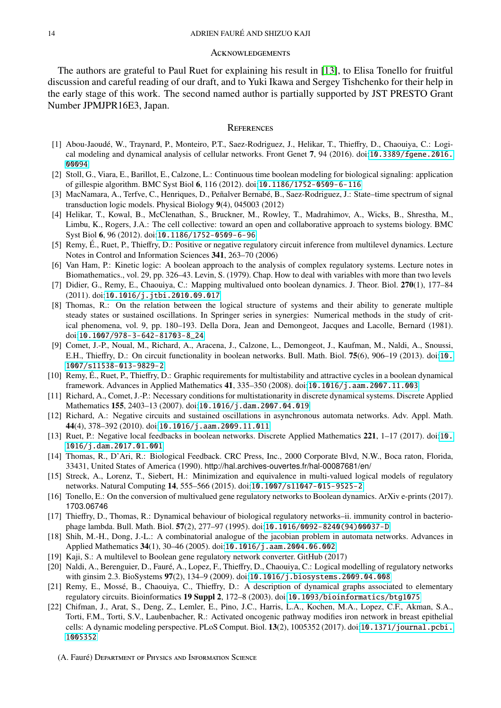#### **ACKNOWLEDGEMENTS**

The authors are grateful to Paul Ruet for explaining his result in [\[13\]](#page-13-12), to Elisa Tonello for fruitful discussion and careful reading of our draft, and to Yuki Ikawa and Sergey Tishchenko for their help in the early stage of this work. The second named author is partially supported by JST PRESTO Grant Number JPMJPR16E3, Japan.

### **REFERENCES**

- <span id="page-13-0"></span>[1] Abou-Jaoudé, W., Traynard, P., Monteiro, P.T., Saez-Rodriguez, J., Helikar, T., Thieffry, D., Chaouiya, C.: Logical modeling and dynamical analysis of cellular networks. Front Genet 7, 94 (2016). doi:[10.3389/fgene.2016.](http://dx.doi.org/10.3389/fgene.2016.00094) [00094](http://dx.doi.org/10.3389/fgene.2016.00094)
- <span id="page-13-1"></span>[2] Stoll, G., Viara, E., Barillot, E., Calzone, L.: Continuous time boolean modeling for biological signaling: application of gillespie algorithm. BMC Syst Biol 6, 116 (2012). doi:[10.1186/1752-0509-6-116](http://dx.doi.org/10.1186/1752-0509-6-116)
- <span id="page-13-2"></span>[3] MacNamara, A., Terfve, C., Henriques, D., Peñalver Bernabé, B., Saez-Rodriguez, J.: State–time spectrum of signal transduction logic models. Physical Biology 9(4), 045003 (2012)
- <span id="page-13-3"></span>[4] Helikar, T., Kowal, B., McClenathan, S., Bruckner, M., Rowley, T., Madrahimov, A., Wicks, B., Shrestha, M., Limbu, K., Rogers, J.A.: The cell collective: toward an open and collaborative approach to systems biology. BMC Syst Biol 6, 96 (2012). doi:[10.1186/1752-0509-6-96](http://dx.doi.org/10.1186/1752-0509-6-96)
- <span id="page-13-4"></span>[5] Remy, É., Ruet, P., Thieffry, D.: Positive or negative regulatory circuit inference from multilevel dynamics. Lecture Notes in Control and Information Sciences 341, 263–70 (2006)
- <span id="page-13-5"></span>[6] Van Ham, P.: Kinetic logic: A boolean approach to the analysis of complex regulatory systems. Lecture notes in Biomathematics., vol. 29, pp. 326–43. Levin, S. (1979). Chap. How to deal with variables with more than two levels
- <span id="page-13-6"></span>[7] Didier, G., Remy, E., Chaouiya, C.: Mapping multivalued onto boolean dynamics. J. Theor. Biol. 270(1), 177–84 (2011). doi:[10.1016/j.jtbi.2010.09.017](http://dx.doi.org/10.1016/j.jtbi.2010.09.017)
- <span id="page-13-7"></span>[8] Thomas, R.: On the relation between the logical structure of systems and their ability to generate multiple steady states or sustained oscillations. In Springer series in synergies: Numerical methods in the study of critical phenomena, vol. 9, pp. 180–193. Della Dora, Jean and Demongeot, Jacques and Lacolle, Bernard (1981). doi:[10.1007/978-3-642-81703-8\\_24](http://dx.doi.org/10.1007/978-3-642-81703-8_24)
- <span id="page-13-8"></span>[9] Comet, J.-P., Noual, M., Richard, A., Aracena, J., Calzone, L., Demongeot, J., Kaufman, M., Naldi, A., Snoussi, E.H., Thieffry, D.: On circuit functionality in boolean networks. Bull. Math. Biol. 75(6), 906–19 (2013). doi:[10.](http://dx.doi.org/10.1007/s11538-013-9829-2) [1007/s11538-013-9829-2](http://dx.doi.org/10.1007/s11538-013-9829-2)
- <span id="page-13-9"></span>[10] Remy, É., Ruet, P., Thieffry, D.: Graphic requirements for multistability and attractive cycles in a boolean dynamical framework. Advances in Applied Mathematics 41, 335–350 (2008). doi:[10.1016/j.aam.2007.11.003](http://dx.doi.org/10.1016/j.aam.2007.11.003)
- <span id="page-13-10"></span>[11] Richard, A., Comet, J.-P.: Necessary conditions for multistationarity in discrete dynamical systems. Discrete Applied Mathematics 155, 2403–13 (2007). doi:[10.1016/j.dam.2007.04.019](http://dx.doi.org/10.1016/j.dam.2007.04.019)
- <span id="page-13-11"></span>[12] Richard, A.: Negative circuits and sustained oscillations in asynchronous automata networks. Adv. Appl. Math. 44(4), 378–392 (2010). doi:[10.1016/j.aam.2009.11.011](http://dx.doi.org/10.1016/j.aam.2009.11.011)
- <span id="page-13-12"></span>[13] Ruet, P.: Negative local feedbacks in boolean networks. Discrete Applied Mathematics 221, 1–17 (2017). doi:[10.](http://dx.doi.org/10.1016/j.dam.2017.01.001) [1016/j.dam.2017.01.001](http://dx.doi.org/10.1016/j.dam.2017.01.001)
- <span id="page-13-13"></span>[14] Thomas, R., D'Ari, R.: Biological Feedback. CRC Press, Inc., 2000 Corporate Blvd, N.W., Boca raton, Florida, 33431, United States of America (1990). http://hal.archives-ouvertes.fr/hal-00087681/en/
- <span id="page-13-14"></span>[15] Streck, A., Lorenz, T., Siebert, H.: Minimization and equivalence in multi-valued logical models of regulatory networks. Natural Computing 14, 555–566 (2015). doi:[10.1007/s11047-015-9525-2](http://dx.doi.org/10.1007/s11047-015-9525-2)
- <span id="page-13-15"></span>[16] Tonello, E.: On the conversion of multivalued gene regulatory networks to Boolean dynamics. ArXiv e-prints (2017). 1703.06746
- <span id="page-13-16"></span>[17] Thieffry, D., Thomas, R.: Dynamical behaviour of biological regulatory networks–ii. immunity control in bacteriophage lambda. Bull. Math. Biol. 57(2), 277–97 (1995). doi:[10.1016/0092-8240\(94\)00037-D](http://dx.doi.org/10.1016/0092-8240(94)00037-D)
- <span id="page-13-17"></span>[18] Shih, M.-H., Dong, J.-L.: A combinatorial analogue of the jacobian problem in automata networks. Advances in Applied Mathematics 34(1), 30–46 (2005). doi:[10.1016/j.aam.2004.06.002](http://dx.doi.org/10.1016/j.aam.2004.06.002)
- <span id="page-13-18"></span>[19] Kaji, S.: A multilevel to Boolean gene regulatory network converter. GitHub (2017)
- <span id="page-13-19"></span>[20] Naldi, A., Berenguier, D., Fauré, A., Lopez, F., Thieffry, D., Chaouiya, C.: Logical modelling of regulatory networks with ginsim 2.3. BioSystems 97(2), 134–9 (2009). doi:[10.1016/j.biosystems.2009.04.008](http://dx.doi.org/10.1016/j.biosystems.2009.04.008)
- <span id="page-13-20"></span>[21] Remy, E., Mossé, B., Chaouiya, C., Thieffry, D.: A description of dynamical graphs associated to elementary regulatory circuits. Bioinformatics 19 Suppl 2, 172–8 (2003). doi:[10.1093/bioinformatics/btg1075](http://dx.doi.org/10.1093/bioinformatics/btg1075)
- <span id="page-13-21"></span>[22] Chifman, J., Arat, S., Deng, Z., Lemler, E., Pino, J.C., Harris, L.A., Kochen, M.A., Lopez, C.F., Akman, S.A., Torti, F.M., Torti, S.V., Laubenbacher, R.: Activated oncogenic pathway modifies iron network in breast epithelial cells: A dynamic modeling perspective. PLoS Comput. Biol. 13(2), 1005352 (2017). doi:[10.1371/journal.pcbi.](http://dx.doi.org/10.1371/journal.pcbi.1005352) [1005352](http://dx.doi.org/10.1371/journal.pcbi.1005352)

(A. Fauré) DEPARTMENT OF PHYSICS AND INFORMATION SCIENCE